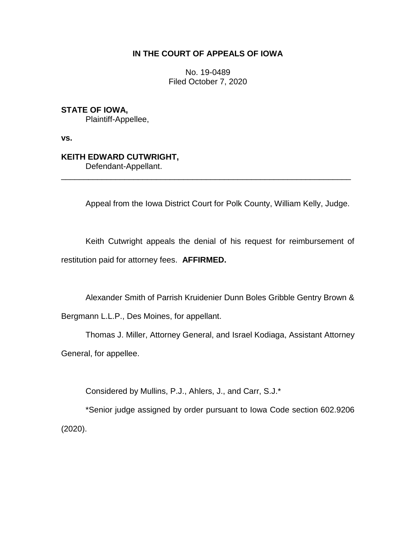## **IN THE COURT OF APPEALS OF IOWA**

No. 19-0489 Filed October 7, 2020

**STATE OF IOWA,**

Plaintiff-Appellee,

**vs.**

## **KEITH EDWARD CUTWRIGHT,**

Defendant-Appellant.

Appeal from the Iowa District Court for Polk County, William Kelly, Judge.

Keith Cutwright appeals the denial of his request for reimbursement of restitution paid for attorney fees. **AFFIRMED.**

\_\_\_\_\_\_\_\_\_\_\_\_\_\_\_\_\_\_\_\_\_\_\_\_\_\_\_\_\_\_\_\_\_\_\_\_\_\_\_\_\_\_\_\_\_\_\_\_\_\_\_\_\_\_\_\_\_\_\_\_\_\_\_\_

Alexander Smith of Parrish Kruidenier Dunn Boles Gribble Gentry Brown & Bergmann L.L.P., Des Moines, for appellant.

Thomas J. Miller, Attorney General, and Israel Kodiaga, Assistant Attorney General, for appellee.

Considered by Mullins, P.J., Ahlers, J., and Carr, S.J.\*

\*Senior judge assigned by order pursuant to Iowa Code section 602.9206 (2020).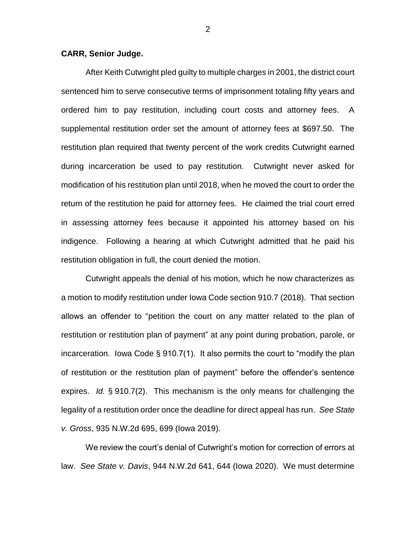## **CARR, Senior Judge.**

After Keith Cutwright pled guilty to multiple charges in 2001, the district court sentenced him to serve consecutive terms of imprisonment totaling fifty years and ordered him to pay restitution, including court costs and attorney fees. A supplemental restitution order set the amount of attorney fees at \$697.50. The restitution plan required that twenty percent of the work credits Cutwright earned during incarceration be used to pay restitution. Cutwright never asked for modification of his restitution plan until 2018, when he moved the court to order the return of the restitution he paid for attorney fees. He claimed the trial court erred in assessing attorney fees because it appointed his attorney based on his indigence. Following a hearing at which Cutwright admitted that he paid his restitution obligation in full, the court denied the motion.

Cutwright appeals the denial of his motion, which he now characterizes as a motion to modify restitution under Iowa Code section 910.7 (2018). That section allows an offender to "petition the court on any matter related to the plan of restitution or restitution plan of payment" at any point during probation, parole, or incarceration. Iowa Code § 910.7(1). It also permits the court to "modify the plan of restitution or the restitution plan of payment" before the offender's sentence expires. *Id.* § 910.7(2). This mechanism is the only means for challenging the legality of a restitution order once the deadline for direct appeal has run. *See State v. Gross*, 935 N.W.2d 695, 699 (Iowa 2019).

We review the court's denial of Cutwright's motion for correction of errors at law. *See State v. Davis*, 944 N.W.2d 641, 644 (Iowa 2020). We must determine

2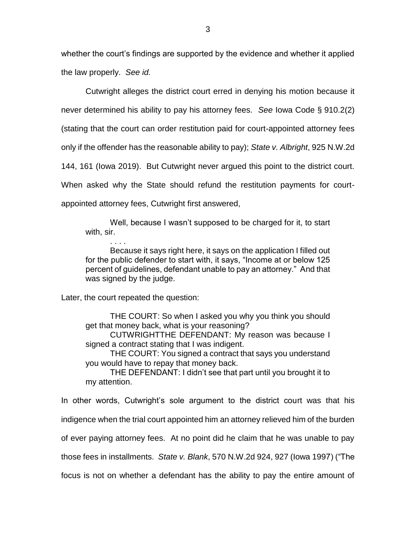whether the court's findings are supported by the evidence and whether it applied the law properly. *See id.*

Cutwright alleges the district court erred in denying his motion because it never determined his ability to pay his attorney fees. *See* Iowa Code § 910.2(2) (stating that the court can order restitution paid for court-appointed attorney fees only if the offender has the reasonable ability to pay); *State v. Albright*, 925 N.W.2d 144, 161 (Iowa 2019). But Cutwright never argued this point to the district court. When asked why the State should refund the restitution payments for courtappointed attorney fees, Cutwright first answered,

Well, because I wasn't supposed to be charged for it, to start with, sir.

. . . . Because it says right here, it says on the application I filled out for the public defender to start with, it says, "Income at or below 125 percent of guidelines, defendant unable to pay an attorney." And that was signed by the judge.

Later, the court repeated the question:

THE COURT: So when I asked you why you think you should get that money back, what is your reasoning?

CUTWRIGHTTHE DEFENDANT: My reason was because I signed a contract stating that I was indigent.

THE COURT: You signed a contract that says you understand you would have to repay that money back.

THE DEFENDANT: I didn't see that part until you brought it to my attention.

In other words, Cutwright's sole argument to the district court was that his indigence when the trial court appointed him an attorney relieved him of the burden of ever paying attorney fees. At no point did he claim that he was unable to pay those fees in installments. *State v. Blank*, 570 N.W.2d 924, 927 (Iowa 1997) ("The focus is not on whether a defendant has the ability to pay the entire amount of